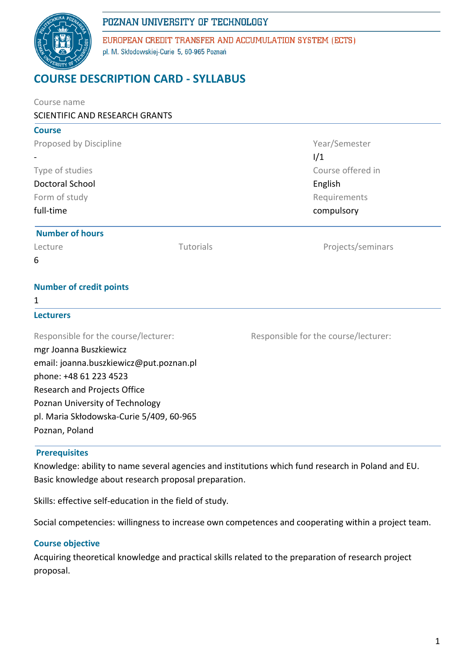# POZNAN UNIVERSITY OF TECHNOLOGY



EUROPEAN CREDIT TRANSFER AND ACCUMULATION SYSTEM (ECTS) pl. M. Skłodowskiej-Curie 5, 60-965 Poznań

# **COURSE DESCRIPTION CARD - SYLLABUS**

| Course name                              |           |                                      |  |
|------------------------------------------|-----------|--------------------------------------|--|
| SCIENTIFIC AND RESEARCH GRANTS           |           |                                      |  |
| <b>Course</b>                            |           |                                      |  |
| Proposed by Discipline                   |           | Year/Semester                        |  |
|                                          |           | 1/1                                  |  |
| Type of studies                          |           | Course offered in<br>English         |  |
| <b>Doctoral School</b>                   |           |                                      |  |
| Form of study                            |           | Requirements                         |  |
| full-time                                |           | compulsory                           |  |
| <b>Number of hours</b>                   |           |                                      |  |
| Lecture                                  | Tutorials | Projects/seminars                    |  |
| 6                                        |           |                                      |  |
| <b>Number of credit points</b>           |           |                                      |  |
| 1                                        |           |                                      |  |
| <b>Lecturers</b>                         |           |                                      |  |
| Responsible for the course/lecturer:     |           | Responsible for the course/lecturer: |  |
| mgr Joanna Buszkiewicz                   |           |                                      |  |
| email: joanna.buszkiewicz@put.poznan.pl  |           |                                      |  |
| phone: +48 61 223 4523                   |           |                                      |  |
| Research and Projects Office             |           |                                      |  |
| Poznan University of Technology          |           |                                      |  |
| pl. Maria Skłodowska-Curie 5/409, 60-965 |           |                                      |  |
| Poznan, Poland                           |           |                                      |  |

#### **Prerequisites**

Knowledge: ability to name several agencies and institutions which fund research in Poland and EU. Basic knowledge about research proposal preparation.

Skills: effective self-education in the field of study.

Social competencies: willingness to increase own competences and cooperating within a project team.

#### **Course objective**

Acquiring theoretical knowledge and practical skills related to the preparation of research project proposal.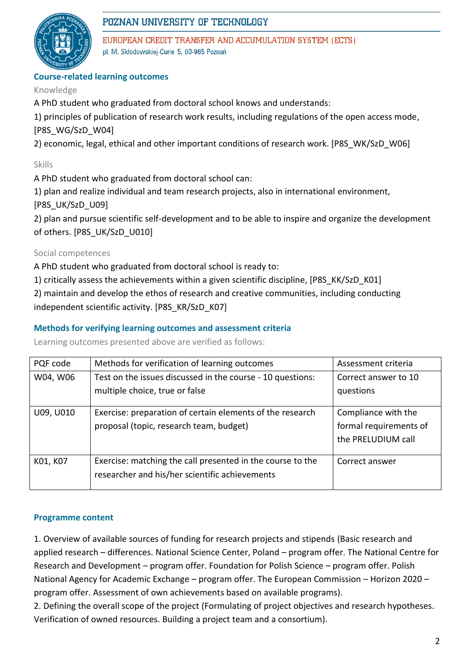

## POZNAN UNIVERSITY OF TECHNOLOGY

EUROPEAN CREDIT TRANSFER AND ACCUMULATION SYSTEM (ECTS) pl. M. Skłodowskiej-Curie 5, 60-965 Poznań

## **Course-related learning outcomes**

#### Knowledge

A PhD student who graduated from doctoral school knows and understands:

1) principles of publication of research work results, including regulations of the open access mode, [P8S\_WG/SzD\_W04]

2) economic, legal, ethical and other important conditions of research work. [P8S\_WK/SzD\_W06]

## Skills

A PhD student who graduated from doctoral school can:

1) plan and realize individual and team research projects, also in international environment,

[P8S\_UK/SzD\_U09]

2) plan and pursue scientific self-development and to be able to inspire and organize the development of others. [P8S\_UK/SzD\_U010]

### Social competences

A PhD student who graduated from doctoral school is ready to:

1) critically assess the achievements within a given scientific discipline, [P8S\_KK/SzD\_K01]

2) maintain and develop the ethos of research and creative communities, including conducting independent scientific activity. [P8S\_KR/SzD\_K07]

### **Methods for verifying learning outcomes and assessment criteria**

Learning outcomes presented above are verified as follows:

| PQF code  | Methods for verification of learning outcomes                                                                | Assessment criteria                                                 |
|-----------|--------------------------------------------------------------------------------------------------------------|---------------------------------------------------------------------|
| W04, W06  | Test on the issues discussed in the course - 10 questions:<br>multiple choice, true or false                 | Correct answer to 10<br>questions                                   |
| U09, U010 | Exercise: preparation of certain elements of the research<br>proposal (topic, research team, budget)         | Compliance with the<br>formal requirements of<br>the PRELUDIUM call |
| K01, K07  | Exercise: matching the call presented in the course to the<br>researcher and his/her scientific achievements | Correct answer                                                      |

#### **Programme content**

1. Overview of available sources of funding for research projects and stipends (Basic research and applied research – differences. National Science Center, Poland – program offer. The National Centre for Research and Development – program offer. Foundation for Polish Science – program offer. Polish National Agency for Academic Exchange – program offer. The European Commission – Horizon 2020 – program offer. Assessment of own achievements based on available programs).

2. Defining the overall scope of the project (Formulating of project objectives and research hypotheses. Verification of owned resources. Building a project team and a consortium).